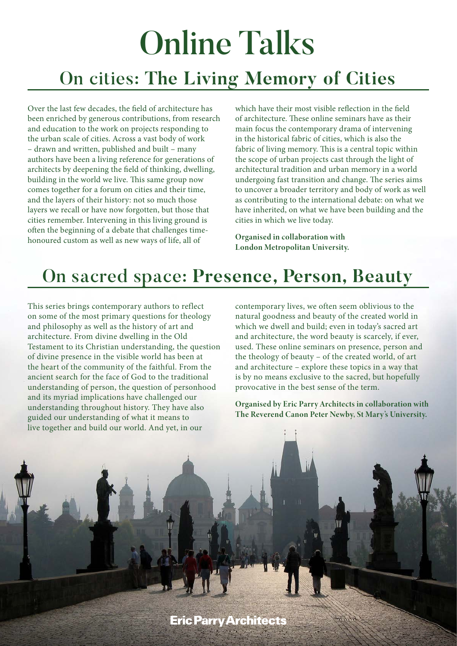# Online Talks On cities: **The Living Memory of Cities**

Over the last few decades, the field of architecture has been enriched by generous contributions, from research and education to the work on projects responding to the urban scale of cities. Across a vast body of work – drawn and written, published and built – many authors have been a living reference for generations of architects by deepening the field of thinking, dwelling, building in the world we live. This same group now comes together for a forum on cities and their time, and the layers of their history: not so much those layers we recall or have now forgotten, but those that cities remember. Intervening in this living ground is often the beginning of a debate that challenges timehonoured custom as well as new ways of life, all of

which have their most visible reflection in the field of architecture. These online seminars have as their main focus the contemporary drama of intervening in the historical fabric of cities, which is also the fabric of living memory. This is a central topic within the scope of urban projects cast through the light of architectural tradition and urban memory in a world undergoing fast transition and change. The series aims to uncover a broader territory and body of work as well as contributing to the international debate: on what we have inherited, on what we have been building and the cities in which we live today.

Organised in collaboration with London Metropolitan University.

## On sacred space: **Presence, Person, Beauty**

This series brings contemporary authors to reflect on some of the most primary questions for theology and philosophy as well as the history of art and architecture. From divine dwelling in the Old Testament to its Christian understanding, the question of divine presence in the visible world has been at the heart of the community of the faithful. From the ancient search for the face of God to the traditional understanding of person, the question of personhood and its myriad implications have challenged our understanding throughout history. They have also guided our understanding of what it means to live together and build our world. And yet, in our

contemporary lives, we often seem oblivious to the natural goodness and beauty of the created world in which we dwell and build; even in today's sacred art and architecture, the word beauty is scarcely, if ever, used. These online seminars on presence, person and the theology of beauty – of the created world, of art and architecture – explore these topics in a way that is by no means exclusive to the sacred, but hopefully provocative in the best sense of the term.

Organised by Eric Parry Architects in collaboration with The Reverend Canon Peter Newby, St Mary's University.

**Eric Parry Architects**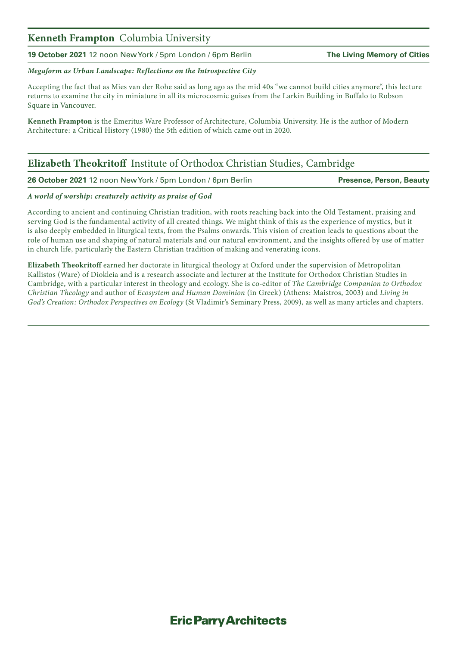#### Kenneth Frampton Columbia University

**19 October 2021** 12 noon New York / 5pm London / 6pm Berlin **The Living Memory of Cities**

#### *Megaform as Urban Landscape: Reflections on the Introspective City*

Accepting the fact that as Mies van der Rohe said as long ago as the mid 40s "we cannot build cities anymore", this lecture returns to examine the city in miniature in all its microcosmic guises from the Larkin Building in Buffalo to Robson Square in Vancouver.

Kenneth Frampton is the Emeritus Ware Professor of Architecture, Columbia University. He is the author of Modern Architecture: a Critical History (1980) the 5th edition of which came out in 2020.

### Elizabeth Theokritoff Institute of Orthodox Christian Studies, Cambridge

**26 October 2021** 12 noon New York / 5pm London / 6pm Berlin **Presence, Person, Beauty**

#### *A world of worship: creaturely activity as praise of God*

According to ancient and continuing Christian tradition, with roots reaching back into the Old Testament, praising and serving God is the fundamental activity of all created things. We might think of this as the experience of mystics, but it is also deeply embedded in liturgical texts, from the Psalms onwards. This vision of creation leads to questions about the role of human use and shaping of natural materials and our natural environment, and the insights offered by use of matter in church life, particularly the Eastern Christian tradition of making and venerating icons.

Elizabeth Theokritoff earned her doctorate in liturgical theology at Oxford under the supervision of Metropolitan Kallistos (Ware) of Diokleia and is a research associate and lecturer at the Institute for Orthodox Christian Studies in Cambridge, with a particular interest in theology and ecology. She is co-editor of *The Cambridge Companion to Orthodox Christian Theology* and author of *Ecosystem and Human Dominion* (in Greek) (Athens: Maistros, 2003) and *Living in God's Creation: Orthodox Perspectives on Ecology* (St Vladimir's Seminary Press, 2009), as well as many articles and chapters.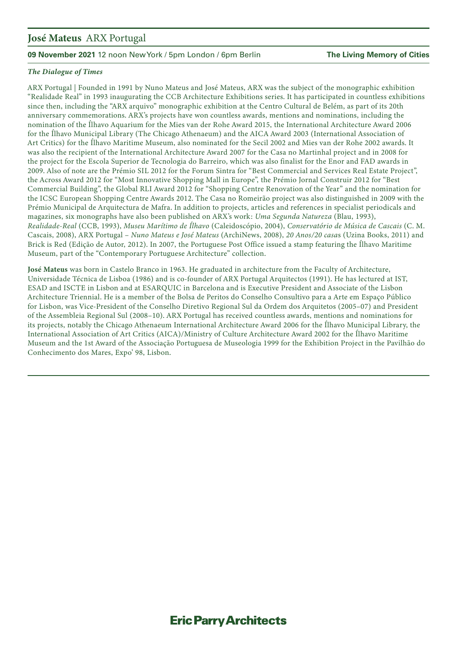#### José Mateus ARX Portugal

#### **09 November 2021** 12 noon New York / 5pm London / 6pm Berlin **The Living Memory of Cities**

#### *The Dialogue of Times*

ARX Portugal | Founded in 1991 by Nuno Mateus and José Mateus, ARX was the subject of the monographic exhibition "Realidade Real" in 1993 inaugurating the CCB Architecture Exhibitions series. It has participated in countless exhibitions since then, including the "ARX arquivo" monographic exhibition at the Centro Cultural de Belém, as part of its 20th anniversary commemorations. ARX's projects have won countless awards, mentions and nominations, including the nomination of the Ílhavo Aquarium for the Mies van der Rohe Award 2015, the International Architecture Award 2006 for the Ílhavo Municipal Library (The Chicago Athenaeum) and the AICA Award 2003 (International Association of Art Critics) for the Ílhavo Maritime Museum, also nominated for the Secil 2002 and Mies van der Rohe 2002 awards. It was also the recipient of the International Architecture Award 2007 for the Casa no Martinhal project and in 2008 for the project for the Escola Superior de Tecnologia do Barreiro, which was also finalist for the Enor and FAD awards in 2009. Also of note are the Prémio SIL 2012 for the Forum Sintra for "Best Commercial and Services Real Estate Project", the Across Award 2012 for "Most Innovative Shopping Mall in Europe", the Prémio Jornal Construir 2012 for "Best Commercial Building", the Global RLI Award 2012 for "Shopping Centre Renovation of the Year" and the nomination for the ICSC European Shopping Centre Awards 2012. The Casa no Romeirão project was also distinguished in 2009 with the Prémio Municipal de Arquitectura de Mafra. In addition to projects, articles and references in specialist periodicals and magazines, six monographs have also been published on ARX's work: *Uma Segunda Natureza* (Blau, 1993), *Realidade-Real* (CCB, 1993), *Museu Marítimo de Ílhavo* (Caleidoscópio, 2004), *Conservatório de Música de Cascais* (C. M. Cascais, 2008), ARX Portugal – *Nuno Mateus e José Mateus* (ArchiNews, 2008), *20 Anos/20 casa*s (Uzina Books, 2011) and Brick is Red (Edição de Autor, 2012). In 2007, the Portuguese Post Office issued a stamp featuring the Ílhavo Maritime Museum, part of the "Contemporary Portuguese Architecture" collection.

José Mateus was born in Castelo Branco in 1963. He graduated in architecture from the Faculty of Architecture, Universidade Técnica de Lisboa (1986) and is co-founder of ARX Portugal Arquitectos (1991). He has lectured at IST, ESAD and ISCTE in Lisbon and at ESARQUIC in Barcelona and is Executive President and Associate of the Lisbon Architecture Triennial. He is a member of the Bolsa de Peritos do Conselho Consultivo para a Arte em Espaço Público for Lisbon, was Vice-President of the Conselho Diretivo Regional Sul da Ordem dos Arquitetos (2005–07) and President of the Assembleia Regional Sul (2008–10). ARX Portugal has received countless awards, mentions and nominations for its projects, notably the Chicago Athenaeum International Architecture Award 2006 for the Ílhavo Municipal Library, the International Association of Art Critics (AICA)/Ministry of Culture Architecture Award 2002 for the Ílhavo Maritime Museum and the 1st Award of the Associação Portuguesa de Museologia 1999 for the Exhibition Project in the Pavilhão do Conhecimento dos Mares, Expo' 98, Lisbon.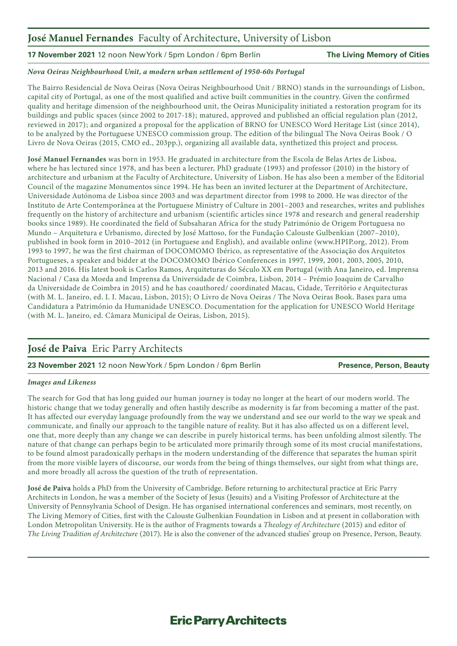### José Manuel Fernandes Faculty of Architecture, University of Lisbon

**17 November 2021** 12 noon New York / 5pm London / 6pm Berlin **The Living Memory of Cities**

#### *Nova Oeiras Neighbourhood Unit, a modern urban settlement of 1950-60s Portugal*

The Bairro Residencial de Nova Oeiras (Nova Oeiras Neighbourhood Unit / BRNO) stands in the surroundings of Lisbon, capital city of Portugal, as one of the most qualified and active built communities in the country. Given the confirmed quality and heritage dimension of the neighbourhood unit, the Oeiras Municipality initiated a restoration program for its buildings and public spaces (since 2002 to 2017-18); matured, approved and published an official regulation plan (2012, reviewed in 2017); and organized a proposal for the application of BRNO for UNESCO Word Heritage List (since 2014), to be analyzed by the Portuguese UNESCO commission group. The edition of the bilingual The Nova Oeiras Book / O Livro de Nova Oeiras (2015, CMO ed., 203pp.), organizing all available data, synthetized this project and process.

José Manuel Fernandes was born in 1953. He graduated in architecture from the Escola de Belas Artes de Lisboa, where he has lectured since 1978, and has been a lecturer, PhD graduate (1993) and professor (2010) in the history of architecture and urbanism at the Faculty of Architecture, University of Lisbon. He has also been a member of the Editorial Council of the magazine Monumentos since 1994. He has been an invited lecturer at the Department of Architecture, Universidade Autónoma de Lisboa since 2003 and was department director from 1998 to 2000. He was director of the Instituto de Arte Contemporânea at the Portuguese Ministry of Culture in 2001–2003 and researches, writes and publishes frequently on the history of architecture and urbanism (scientific articles since 1978 and research and general readership books since 1989). He coordinated the field of Subsaharan Africa for the study Património de Origem Portuguesa no Mundo – Arquitetura e Urbanismo, directed by José Mattoso, for the Fundação Calouste Gulbenkian (2007–2010), published in book form in 2010–2012 (in Portuguese and English), and available online (www.HPIP.org, 2012). From 1993 to 1997, he was the first chairman of DOCOMOMO Ibérico, as representative of the Associação dos Arquitetos Portugueses, a speaker and bidder at the DOCOMOMO Ibérico Conferences in 1997, 1999, 2001, 2003, 2005, 2010, 2013 and 2016. His latest book is Carlos Ramos, Arquiteturas do Século XX em Portugal (with Ana Janeiro, ed. Imprensa Nacional / Casa da Moeda and Imprensa da Universidade de Coimbra, Lisbon, 2014 – Prémio Joaquim de Carvalho da Universidade de Coimbra in 2015) and he has coauthored/ coordinated Macau, Cidade, Território e Arquitecturas (with M. L. Janeiro, ed. I. I. Macau, Lisbon, 2015); O Livro de Nova Oeiras / The Nova Oeiras Book. Bases para uma Candidatura a Património da Humanidade UNESCO. Documentation for the application for UNESCO World Heritage (with M. L. Janeiro, ed. Câmara Municipal de Oeiras, Lisbon, 2015).

### José de Paiva Eric Parry Architects

#### **23 November 2021** 12 noon New York / 5pm London / 6pm Berlin **Presence, Person, Beauty**

#### *Images and Likeness*

The search for God that has long guided our human journey is today no longer at the heart of our modern world. The historic change that we today generally and often hastily describe as modernity is far from becoming a matter of the past. It has affected our everyday language profoundly from the way we understand and see our world to the way we speak and communicate, and finally our approach to the tangible nature of reality. But it has also affected us on a different level, one that, more deeply than any change we can describe in purely historical terms, has been unfolding almost silently. The nature of that change can perhaps begin to be articulated more primarily through some of its most crucial manifestations, to be found almost paradoxically perhaps in the modern understanding of the difference that separates the human spirit from the more visible layers of discourse, our words from the being of things themselves, our sight from what things are, and more broadly all across the question of the truth of representation.

José de Paiva holds a PhD from the University of Cambridge. Before returning to architectural practice at Eric Parry Architects in London, he was a member of the Society of Jesus (Jesuits) and a Visiting Professor of Architecture at the University of Pennsylvania School of Design. He has organised international conferences and seminars, most recently, on The Living Memory of Cities, first with the Calouste Gulbenkian Foundation in Lisbon and at present in collaboration with London Metropolitan University. He is the author of Fragments towards a *Theology of Architecture* (2015) and editor of *The Living Tradition of Architecture* (2017). He is also the convener of the advanced studies' group on Presence, Person, Beauty.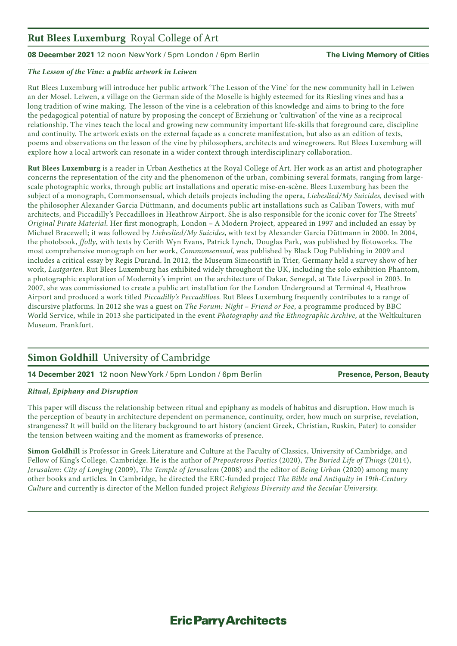### Rut Blees Luxemburg Royal College of Art

#### **08 December 2021** 12 noon New York / 5pm London / 6pm Berlin **The Living Memory of Cities**

#### *The Lesson of the Vine: a public artwork in Leiwen*

Rut Blees Luxemburg will introduce her public artwork 'The Lesson of the Vine' for the new community hall in Leiwen an der Mosel. Leiwen, a village on the German side of the Moselle is highly esteemed for its Riesling vines and has a long tradition of wine making. The lesson of the vine is a celebration of this knowledge and aims to bring to the fore the pedagogical potential of nature by proposing the concept of Erziehung or 'cultivation' of the vine as a reciprocal relationship. The vines teach the local and growing new community important life-skills that foreground care, discipline and continuity. The artwork exists on the external façade as a concrete manifestation, but also as an edition of texts, poems and observations on the lesson of the vine by philosophers, architects and winegrowers. Rut Blees Luxemburg will explore how a local artwork can resonate in a wider context through interdisciplinary collaboration.

Rut Blees Luxemburg is a reader in Urban Aesthetics at the Royal College of Art. Her work as an artist and photographer concerns the representation of the city and the phenomenon of the urban, combining several formats, ranging from largescale photographic works, through public art installations and operatic mise-en-scène. Blees Luxemburg has been the subject of a monograph, Commonsensual, which details projects including the opera, *Liebeslied/My Suicides,* devised with the philosopher Alexander Garcia Düttmann, and documents public art installations such as Caliban Towers, with muf architects, and Piccadilly's Peccadilloes in Heathrow Airport. She is also responsible for the iconic cover for The Streets' *Original Pirate Material*. Her first monograph, London – A Modern Project, appeared in 1997 and included an essay by Michael Bracewell; it was followed by *Liebeslied/My Suicides,* with text by Alexander Garcia Düttmann in 2000. In 2004, the photobook, *ffolly*, with texts by Cerith Wyn Evans, Patrick Lynch, Douglas Park, was published by ffotoworks. The most comprehensive monograph on her work, *Commonsensual,* was published by Black Dog Publishing in 2009 and includes a critical essay by Regis Durand. In 2012, the Museum Simeonstift in Trier, Germany held a survey show of her work, *Lustgarten.* Rut Blees Luxemburg has exhibited widely throughout the UK, including the solo exhibition Phantom, a photographic exploration of Modernity's imprint on the architecture of Dakar, Senegal, at Tate Liverpool in 2003. In 2007, she was commissioned to create a public art installation for the London Underground at Terminal 4, Heathrow Airport and produced a work titled *Piccadilly's Peccadilloes.* Rut Blees Luxemburg frequently contributes to a range of discursive platforms. In 2012 she was a guest on *The Forum: Night – Friend or Foe*, a programme produced by BBC World Service, while in 2013 she participated in the event *Photography and the Ethnographic Archive,* at the Weltkulturen Museum, Frankfurt.

### Simon Goldhill University of Cambridge

**14 December 2021** 12 noon New York / 5pm London / 6pm Berlin **Presence, Person, Beauty**

#### *Ritual, Epiphany and Disruption*

This paper will discuss the relationship between ritual and epiphany as models of habitus and disruption. How much is the perception of beauty in architecture dependent on permanence, continuity, order, how much on surprise, revelation, strangeness? It will build on the literary background to art history (ancient Greek, Christian, Ruskin, Pater) to consider the tension between waiting and the moment as frameworks of presence.

Simon Goldhill is Professor in Greek Literature and Culture at the Faculty of Classics, University of Cambridge, and Fellow of King's College, Cambridge. He is the author of *Preposterous Poetics* (2020), *The Buried Life of Things* (2014), *Jerusalem: City of Longing* (2009), *The Temple of Jerusalem* (2008) and the editor of *Being Urban* (2020) among many other books and articles. In Cambridge, he directed the ERC-funded projec*t The Bible and Antiquity in 19th-Century Culture* and currently is director of the Mellon funded project *Religious Diversity and the Secular University.*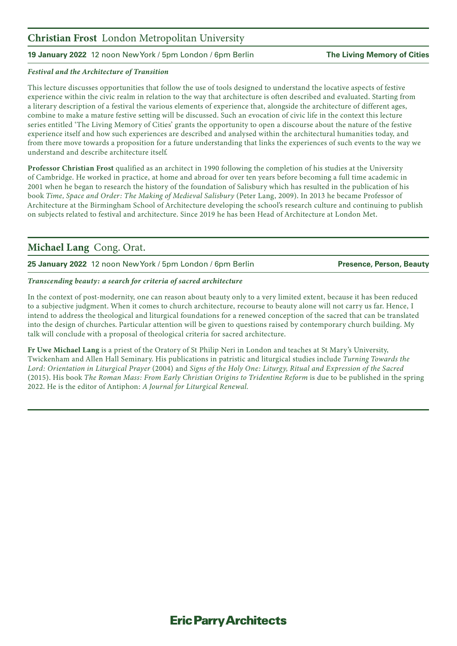#### Christian Frost London Metropolitan University

#### **19 January 2022** 12 noon New York / 5pm London / 6pm Berlin **The Living Memory of Cities**

#### *Festival and the Architecture of Transition*

This lecture discusses opportunities that follow the use of tools designed to understand the locative aspects of festive experience within the civic realm in relation to the way that architecture is often described and evaluated. Starting from a literary description of a festival the various elements of experience that, alongside the architecture of different ages, combine to make a mature festive setting will be discussed. Such an evocation of civic life in the context this lecture series entitled 'The Living Memory of Cities' grants the opportunity to open a discourse about the nature of the festive experience itself and how such experiences are described and analysed within the architectural humanities today, and from there move towards a proposition for a future understanding that links the experiences of such events to the way we understand and describe architecture itself.

Professor Christian Frost qualified as an architect in 1990 following the completion of his studies at the University of Cambridge. He worked in practice, at home and abroad for over ten years before becoming a full time academic in 2001 when he began to research the history of the foundation of Salisbury which has resulted in the publication of his book *Time, Space and Order: The Making of Medieval Salisbury* (Peter Lang, 2009). In 2013 he became Professor of Architecture at the Birmingham School of Architecture developing the school's research culture and continuing to publish on subjects related to festival and architecture. Since 2019 he has been Head of Architecture at London Met.

#### Michael Lang Cong. Orat.

**25 January 2022** 12 noon New York / 5pm London / 6pm Berlin **Presence, Person, Beauty**

#### *Transcending beauty: a search for criteria of sacred architecture*

In the context of post-modernity, one can reason about beauty only to a very limited extent, because it has been reduced to a subjective judgment. When it comes to church architecture, recourse to beauty alone will not carry us far. Hence, I intend to address the theological and liturgical foundations for a renewed conception of the sacred that can be translated into the design of churches. Particular attention will be given to questions raised by contemporary church building. My talk will conclude with a proposal of theological criteria for sacred architecture.

Fr Uwe Michael Lang is a priest of the Oratory of St Philip Neri in London and teaches at St Mary's University, Twickenham and Allen Hall Seminary. His publications in patristic and liturgical studies include *Turning Towards the Lord: Orientation in Liturgical Prayer* (2004) and *Signs of the Holy One: Liturgy, Ritual and Expression of the Sacred* (2015). His book *The Roman Mass: From Early Christian Origins to Tridentine Reform* is due to be published in the spring 2022. He is the editor of Antiphon: *A Journal for Liturgical Renewal.*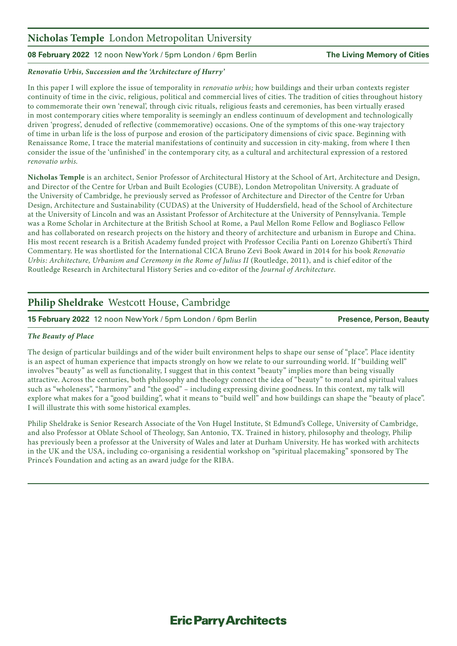#### Nicholas Temple London Metropolitan University

#### **08 February 2022** 12 noon New York / 5pm London / 6pm Berlin **The Living Memory of Cities**

#### *Renovatio Urbis, Succession and the 'Architecture of Hurry'*

In this paper I will explore the issue of temporality in *renovatio urbis;* how buildings and their urban contexts register continuity of time in the civic, religious, political and commercial lives of cities. The tradition of cities throughout history to commemorate their own 'renewal', through civic rituals, religious feasts and ceremonies, has been virtually erased in most contemporary cities where temporality is seemingly an endless continuum of development and technologically driven 'progress', denuded of reflective (commemorative) occasions. One of the symptoms of this one-way trajectory of time in urban life is the loss of purpose and erosion of the participatory dimensions of civic space. Beginning with Renaissance Rome, I trace the material manifestations of continuity and succession in city-making, from where I then consider the issue of the 'unfinished' in the contemporary city, as a cultural and architectural expression of a restored *renovatio urbis.*

Nicholas Temple is an architect, Senior Professor of Architectural History at the School of Art, Architecture and Design, and Director of the Centre for Urban and Built Ecologies (CUBE), London Metropolitan University. A graduate of the University of Cambridge, he previously served as Professor of Architecture and Director of the Centre for Urban Design, Architecture and Sustainability (CUDAS) at the University of Huddersfield, head of the School of Architecture at the University of Lincoln and was an Assistant Professor of Architecture at the University of Pennsylvania. Temple was a Rome Scholar in Architecture at the British School at Rome, a Paul Mellon Rome Fellow and Bogliasco Fellow and has collaborated on research projects on the history and theory of architecture and urbanism in Europe and China. His most recent research is a British Academy funded project with Professor Cecilia Panti on Lorenzo Ghiberti's Third Commentary. He was shortlisted for the International CICA Bruno Zevi Book Award in 2014 for his book *Renovatio Urbis: Architecture, Urbanism and Ceremony in the Rome of Julius II* (Routledge, 2011), and is chief editor of the Routledge Research in Architectural History Series and co-editor of the *Journal of Architecture.* 

#### Philip Sheldrake Westcott House, Cambridge

**15 February 2022** 12 noon New York / 5pm London / 6pm Berlin **Presence, Person, Beauty**

#### *The Beauty of Place*

The design of particular buildings and of the wider built environment helps to shape our sense of "place". Place identity is an aspect of human experience that impacts strongly on how we relate to our surrounding world. If "building well" involves "beauty" as well as functionality, I suggest that in this context "beauty" implies more than being visually attractive. Across the centuries, both philosophy and theology connect the idea of "beauty" to moral and spiritual values such as "wholeness", "harmony" and "the good" – including expressing divine goodness. In this context, my talk will explore what makes for a "good building", what it means to "build well" and how buildings can shape the "beauty of place". I will illustrate this with some historical examples.

Philip Sheldrake is Senior Research Associate of the Von Hugel Institute, St Edmund's College, University of Cambridge, and also Professor at Oblate School of Theology, San Antonio, TX. Trained in history, philosophy and theology, Philip has previously been a professor at the University of Wales and later at Durham University. He has worked with architects in the UK and the USA, including co-organising a residential workshop on "spiritual placemaking" sponsored by The Prince's Foundation and acting as an award judge for the RIBA.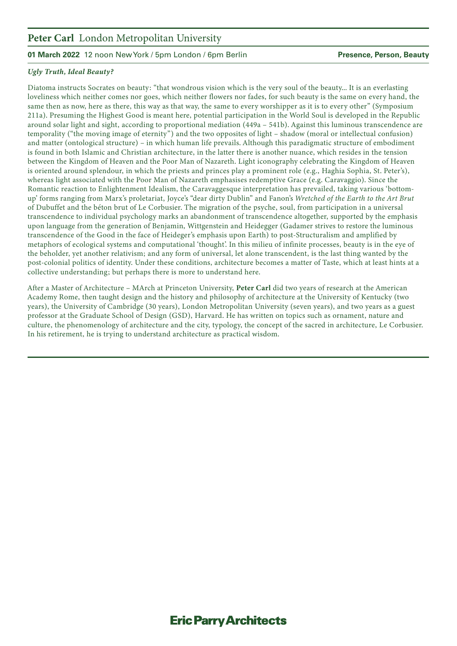### Peter Carl London Metropolitan University

#### **01 March 2022** 12 noon New York / 5pm London / 6pm Berlin **Presence, Person, Beauty**

#### *Ugly Truth, Ideal Beauty?*

Diatoma instructs Socrates on beauty: "that wondrous vision which is the very soul of the beauty... It is an everlasting loveliness which neither comes nor goes, which neither flowers nor fades, for such beauty is the same on every hand, the same then as now, here as there, this way as that way, the same to every worshipper as it is to every other" (Symposium 211a). Presuming the Highest Good is meant here, potential participation in the World Soul is developed in the Republic around solar light and sight, according to proportional mediation (449a – 541b). Against this luminous transcendence are temporality ("the moving image of eternity") and the two opposites of light – shadow (moral or intellectual confusion) and matter (ontological structure) – in which human life prevails. Although this paradigmatic structure of embodiment is found in both Islamic and Christian architecture, in the latter there is another nuance, which resides in the tension between the Kingdom of Heaven and the Poor Man of Nazareth. Light iconography celebrating the Kingdom of Heaven is oriented around splendour, in which the priests and princes play a prominent role (e.g., Haghia Sophia, St. Peter's), whereas light associated with the Poor Man of Nazareth emphasises redemptive Grace (e.g. Caravaggio). Since the Romantic reaction to Enlightenment Idealism, the Caravaggesque interpretation has prevailed, taking various 'bottomup' forms ranging from Marx's proletariat, Joyce's "dear dirty Dublin" and Fanon's *Wretched of the Earth to the Art Brut* of Dubuffet and the béton brut of Le Corbusier. The migration of the psyche, soul, from participation in a universal transcendence to individual psychology marks an abandonment of transcendence altogether, supported by the emphasis upon language from the generation of Benjamin, Wittgenstein and Heidegger (Gadamer strives to restore the luminous transcendence of the Good in the face of Heideger's emphasis upon Earth) to post-Structuralism and amplified by metaphors of ecological systems and computational 'thought'. In this milieu of infinite processes, beauty is in the eye of the beholder, yet another relativism; and any form of universal, let alone transcendent, is the last thing wanted by the post-colonial politics of identity. Under these conditions, architecture becomes a matter of Taste, which at least hints at a collective understanding; but perhaps there is more to understand here.

After a Master of Architecture – MArch at Princeton University, Peter Carl did two years of research at the American Academy Rome, then taught design and the history and philosophy of architecture at the University of Kentucky (two years), the University of Cambridge (30 years), London Metropolitan University (seven years), and two years as a guest professor at the Graduate School of Design (GSD), Harvard. He has written on topics such as ornament, nature and culture, the phenomenology of architecture and the city, typology, the concept of the sacred in architecture, Le Corbusier. In his retirement, he is trying to understand architecture as practical wisdom.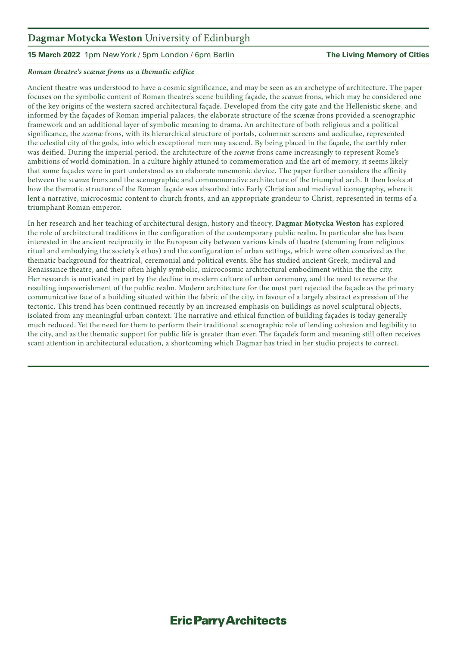### Dagmar Motycka Weston University of Edinburgh

**15 March 2022** 1pm New York / 5pm London / 6pm Berlin **The Living Memory of Cities**

#### *Roman theatre's scænæ frons as a thematic edifice*

Ancient theatre was understood to have a cosmic significance, and may be seen as an archetype of architecture. The paper focuses on the symbolic content of Roman theatre's scene building façade, the *scænæ* frons, which may be considered one of the key origins of the western sacred architectural façade. Developed from the city gate and the Hellenistic skene, and informed by the façades of Roman imperial palaces, the elaborate structure of the scænæ frons provided a scenographic framework and an additional layer of symbolic meaning to drama. An architecture of both religious and a political significance, the *scænæ* frons, with its hierarchical structure of portals, columnar screens and aediculae, represented the celestial city of the gods, into which exceptional men may ascend. By being placed in the façade, the earthly ruler was deified. During the imperial period, the architecture of the *scænæ* frons came increasingly to represent Rome's ambitions of world domination. In a culture highly attuned to commemoration and the art of memory, it seems likely that some façades were in part understood as an elaborate mnemonic device. The paper further considers the affinity between the *scænæ* frons and the scenographic and commemorative architecture of the triumphal arch. It then looks at how the thematic structure of the Roman façade was absorbed into Early Christian and medieval iconography, where it lent a narrative, microcosmic content to church fronts, and an appropriate grandeur to Christ, represented in terms of a triumphant Roman emperor.

In her research and her teaching of architectural design, history and theory, Dagmar Motycka Weston has explored the role of architectural traditions in the configuration of the contemporary public realm. In particular she has been interested in the ancient reciprocity in the European city between various kinds of theatre (stemming from religious ritual and embodying the society's ethos) and the configuration of urban settings, which were often conceived as the thematic background for theatrical, ceremonial and political events. She has studied ancient Greek, medieval and Renaissance theatre, and their often highly symbolic, microcosmic architectural embodiment within the the city. Her research is motivated in part by the decline in modern culture of urban ceremony, and the need to reverse the resulting impoverishment of the public realm. Modern architecture for the most part rejected the façade as the primary communicative face of a building situated within the fabric of the city, in favour of a largely abstract expression of the tectonic. This trend has been continued recently by an increased emphasis on buildings as novel sculptural objects, isolated from any meaningful urban context. The narrative and ethical function of building façades is today generally much reduced. Yet the need for them to perform their traditional scenographic role of lending cohesion and legibility to the city, and as the thematic support for public life is greater than ever. The façade's form and meaning still often receives scant attention in architectural education, a shortcoming which Dagmar has tried in her studio projects to correct.